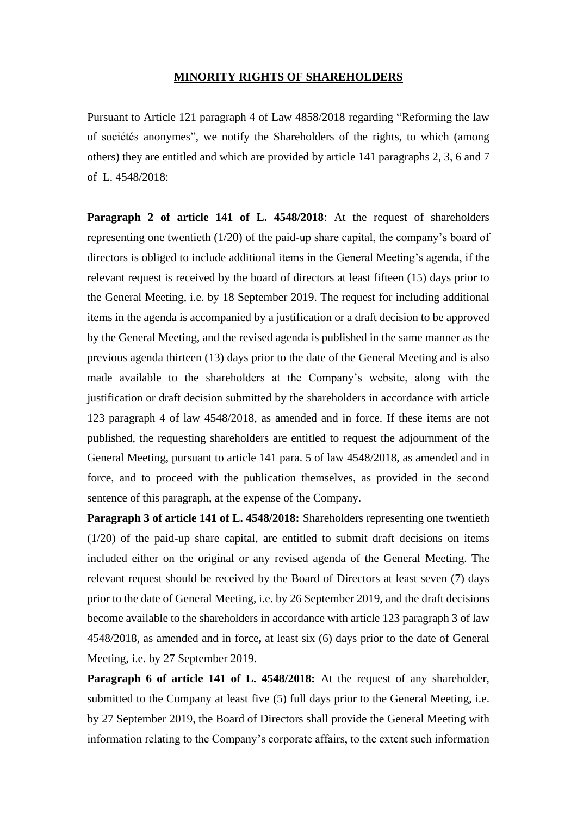## **MINORITY RIGHTS OF SHAREHOLDERS**

Pursuant to Article 121 paragraph 4 of Law 4858/2018 regarding "Reforming the law of sociétés anonymes", we notify the Shareholders of the rights, to which (among others) they are entitled and which are provided by article 141 paragraphs 2, 3, 6 and 7 of L. 4548/2018:

**Paragraph 2 of article 141 of L. 4548/2018**: At the request of shareholders representing one twentieth (1/20) of the paid-up share capital, the company's board of directors is obliged to include additional items in the General Meeting's agenda, if the relevant request is received by the board of directors at least fifteen (15) days prior to the General Meeting, i.e. by 18 September 2019. The request for including additional items in the agenda is accompanied by a justification or a draft decision to be approved by the General Meeting, and the revised agenda is published in the same manner as the previous agenda thirteen (13) days prior to the date of the General Meeting and is also made available to the shareholders at the Company's website, along with the justification or draft decision submitted by the shareholders in accordance with article 123 paragraph 4 of law 4548/2018, as amended and in force. If these items are not published, the requesting shareholders are entitled to request the adjournment of the General Meeting, pursuant to article 141 para. 5 of law 4548/2018, as amended and in force, and to proceed with the publication themselves, as provided in the second sentence of this paragraph, at the expense of the Company.

**Paragraph 3 of article 141 of L. 4548/2018:** Shareholders representing one twentieth (1/20) of the paid-up share capital, are entitled to submit draft decisions on items included either on the original or any revised agenda of the General Meeting. The relevant request should be received by the Board of Directors at least seven (7) days prior to the date of General Meeting, i.e. by 26 September 2019, and the draft decisions become available to the shareholders in accordance with article 123 paragraph 3 of law 4548/2018, as amended and in force**,** at least six (6) days prior to the date of General Meeting, i.e. by 27 September 2019.

**Paragraph 6 of article 141 of L. 4548/2018:** At the request of any shareholder, submitted to the Company at least five (5) full days prior to the General Meeting, i.e. by 27 September 2019, the Board of Directors shall provide the General Meeting with information relating to the Company's corporate affairs, to the extent such information